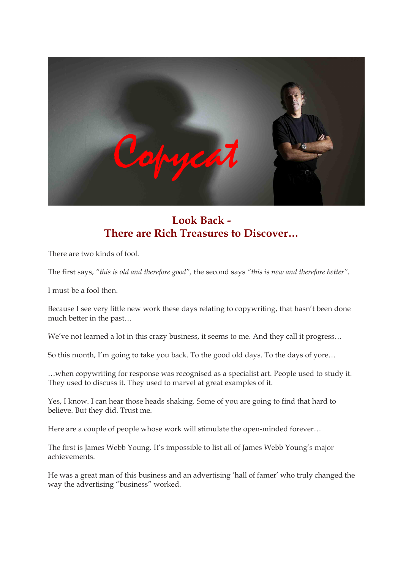

## **Look Back There are Rich Treasures to Discover…**

There are two kinds of fool.

The first says, *"this is old and therefore good",* the second says *"this is new and therefore better".*

I must be a fool then.

Because I see very little new work these days relating to copywriting, that hasn't been done much better in the past…

We've not learned a lot in this crazy business, it seems to me. And they call it progress…

So this month, I'm going to take you back. To the good old days. To the days of yore… …when copywriting for response was recognised as a specialist art. People used to study it. They used to discuss it. They used to marvel at great examples of it.

Yes, I know. I can hear those heads shaking. Some of you are going to find that hard to believe. But they did. Trust me.

Here are a couple of people whose work will stimulate the open-minded forever...

The first is James Webb Young. It's impossible to list all of James Webb Young's major achievements.

He was a great man of this business and an advertising 'hall of famer' who truly changed the way the advertising "business" worked.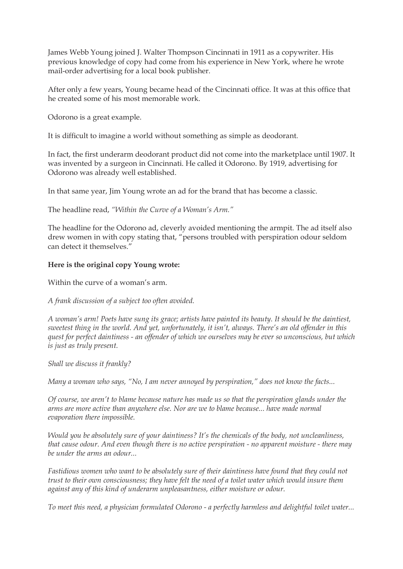James Webb Young joined J. Walter Thompson Cincinnati in 1911 as a copywriter. His previous knowledge of copy had come from his experience in New York, where he wrote mail-order advertising for a local book publisher.

After only a few years, Young became head of the Cincinnati office. It was at this office that he created some of his most memorable work.

Odorono is a great example.

It is difficult to imagine a world without something as simple as deodorant.

In fact, the first underarm deodorant product did not come into the marketplace until 1907. It was invented by a surgeon in Cincinnati. He called it Odorono. By 1919, advertising for Odorono was already well established.

In that same year, Jim Young wrote an ad for the brand that has become a classic.

The headline read, *"Within the Curve of a Woman's Arm."*

The headline for the Odorono ad, cleverly avoided mentioning the armpit. The ad itself also drew women in with copy stating that, "persons troubled with perspiration odour seldom can detect it themselves."

## **Here is the original copy Young wrote:**

Within the curve of a woman's arm.

*A frank discussion of a subject too often avoided.*

*A woman's arm! Poets have sung its grace; artists have painted its beauty. It should be the daintiest, sweetest thing in the world. And yet, unfortunately, it isn't, always. There's an old offender in this quest for perfect daintiness an offender of which we ourselves may be ever so unconscious, but which is just as truly present.*

*Shall we discuss it frankly?* 

*Many a woman who says, "No, I am never annoyed by perspiration," does not know the facts...*

*Of course, we aren't to blame because nature has made us so that the perspiration glands under the arms are more active than anywhere else. Nor are we to blame because... have made normal evaporation there impossible.*

*Would you be absolutely sure of your daintiness? It's the chemicals of the body, not uncleanliness, that cause odour. And even though there is no active perspiration no apparent moisture there may be under the arms an odour...*

*Fastidious women who want to be absolutely sure of their daintiness have found that they could not trust to their own consciousness; they have felt the need of a toilet water which would insure them against any of this kind of underarm unpleasantness, either moisture or odour.*

*To meet this need, a physician formulated Odorono a perfectly harmless and delightful toilet water...*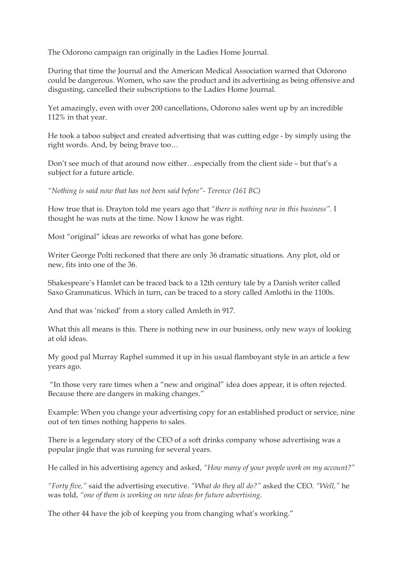The Odorono campaign ran originally in the Ladies Home Journal.

During that time the Journal and the American Medical Association warned that Odorono could be dangerous. Women, who saw the product and its advertising as being offensive and disgusting, cancelled their subscriptions to the Ladies Home Journal.

Yet amazingly, even with over 200 cancellations, Odorono sales went up by an incredible 112% in that year.

He took a taboo subject and created advertising that was cutting edge - by simply using the right words. And, by being brave too…

Don't see much of that around now either…especially from the client side – but that's a subject for a future article.

*"Nothing is said now that has not been said before" Terence (161 BC)*

How true that is. Drayton told me years ago that *"there is nothing new in this business".* I thought he was nuts at the time. Now I know he was right.

Most "original" ideas are reworks of what has gone before.

Writer George Polti reckoned that there are only 36 dramatic situations. Any plot, old or new, fits into one of the 36.

Shakespeare's Hamlet can be traced back to a 12th century tale by a Danish writer called Saxo Grammaticus. Which in turn, can be traced to a story called Amlothi in the 1100s.

And that was 'nicked' from a story called Amleth in 917.

What this all means is this. There is nothing new in our business, only new ways of looking at old ideas.

My good pal Murray Raphel summed it up in his usual flamboyant style in an article a few years ago.

"In those very rare times when a "new and original" idea does appear, it is often rejected. Because there are dangers in making changes."

Example: When you change your advertising copy for an established product or service, nine out of ten times nothing happens to sales.

There is a legendary story of the CEO of a soft drinks company whose advertising was a popular jingle that was running for several years.

He called in his advertising agency and asked, *"How many of your people work on my account?"* 

*"Forty five,"* said the advertising executive. *"What do they all do?"* asked the CEO. *"Well,"* he was told, *"one of them is working on new ideas for future advertising.*

The other 44 have the job of keeping you from changing what's working."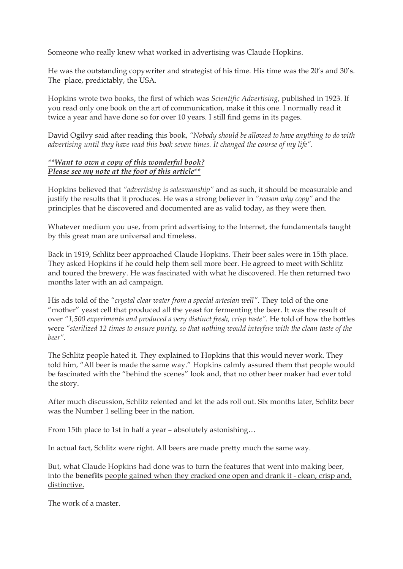Someone who really knew what worked in advertising was Claude Hopkins.

He was the outstanding copywriter and strategist of his time. His time was the 20's and 30's. The place, predictably, the USA.

Hopkins wrote two books, the first of which was *Scientific Advertising*, published in 1923. If you read only one book on the art of communication, make it this one. I normally read it twice a year and have done so for over 10 years. I still find gems in its pages.

David Ogilvy said after reading this book, *"Nobody should be allowed to have anything to do with advertising until they have read this book seven times. It changed the course of my life".*

## *\*\*Want to own a copy of this wonderful book? Please see my note at the foot of this article\*\**

Hopkins believed that *"advertising is salesmanship"* and as such, it should be measurable and justify the results that it produces. He was a strong believer in *"reason why copy"* and the principles that he discovered and documented are as valid today, as they were then.

Whatever medium you use, from print advertising to the Internet, the fundamentals taught by this great man are universal and timeless.

Back in 1919, Schlitz beer approached Claude Hopkins. Their beer sales were in 15th place. They asked Hopkins if he could help them sell more beer. He agreed to meet with Schlitz and toured the brewery. He was fascinated with what he discovered. He then returned two months later with an ad campaign.

His ads told of the *"crystal clear water from a special artesian well"*. They told of the one "mother" yeast cell that produced all the yeast for fermenting the beer. It was the result of over *"1,500 experiments and produced a very distinct fresh, crisp taste".* He told of how the bottles were *"sterilized 12 times to ensure purity, so that nothing would interfere with the clean taste of the beer".*

The Schlitz people hated it. They explained to Hopkins that this would never work. They told him, "All beer is made the same way." Hopkins calmly assured them that people would be fascinated with the "behind the scenes" look and, that no other beer maker had ever told the story.

After much discussion, Schlitz relented and let the ads roll out. Six months later, Schlitz beer was the Number 1 selling beer in the nation.

From 15th place to 1st in half a year – absolutely astonishing…

In actual fact, Schlitz were right. All beers are made pretty much the same way.

But, what Claude Hopkins had done was to turn the features that went into making beer, into the **benefits** people gained when they cracked one open and drank it - clean, crisp and, distinctive.

The work of a master.